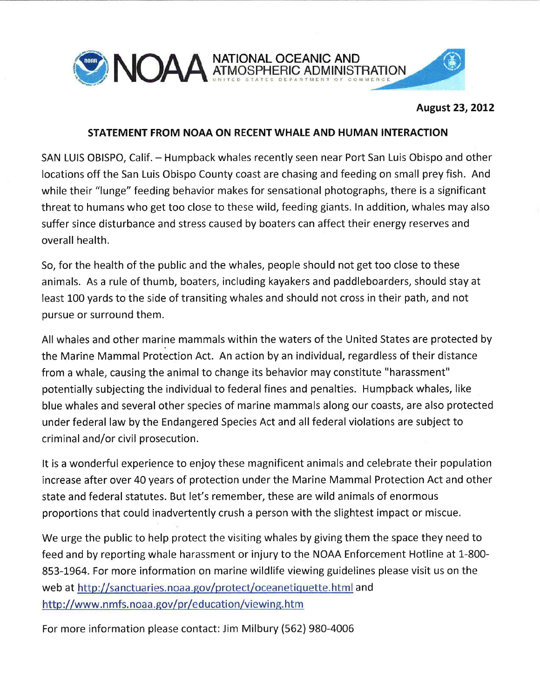

### August 23,2012

# STATEMENT FROM NOAA ON RECENT WHALE AND HUMAN INTERACTION

SAN LUIS OBISPO, Calif. - Humpback whales recently seen near Port San Luis Obispo and other locations off the San Luis Obispo County coast are chasing and feeding on small prey fish. And while their "lunge" feeding behavior makes for sensational photographs, there is a significant threat to humans who get too close to these wild, feeding giants. In addition, whales may also suffer since disturbance and stress caused by boaters can affect their energy reserves and overall health.

So, for the health of the public and the whales, people should not get too close to these animals. As a rule of thumb, boaters, includíng kayakers and paddleboarders, should stay at least 100 yards to the side of transiting whales and should not cross in their path, and not pursue or surround them.

All whales and other marine mammals within the waters of the United States are protected by the Marine Mammal Protection Act. An action by an individual, regardless of their distance from a whale, causing the animal to change its behavior may constitute "harassment" potentially subjecting the individual to federal fines and penalties. Humpback whales, like blue whales and several other species of marine mammals along our coasts, are also protected under federal law by the Endangered Species Act and all federal violations are subject to criminal and/or civil prosecution.

It is a wonderful experience to enjoy these magnificent animals and celebrate their population increase after over 40 years of protection under the Marine Mammal Protection Act and other state and federal statutes. But let's remember, these are wild animals of enormous proportions that could inadvertently crush a person with the slightest impact or miscue.

We urge the public to help protect the visiting whales by giving them the space they need to feed and by reporting whale harassment or injury to the NOAA Enforcement Hotline at 1-800-853-1964. For more information on marine wildlife viewing guidelines please visit us on the web at http://sanctuaries.noaa.gov/protect/oceanetiquette.html and http://www.nmfs.noaa.gov/pr/education/viewing.htm

For more information please contact: Jim Milbury (562) 980-4006